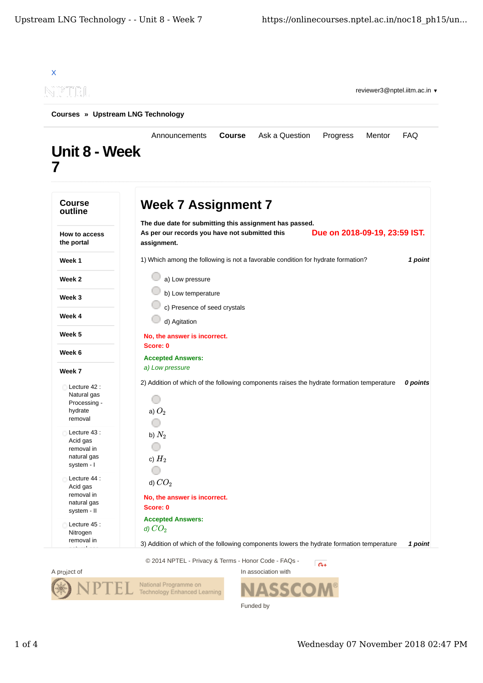| $\left\  \vec{v} \right\ $                                           | reviewer3@nptel.iitm.ac.in                                                                                                                                |            |
|----------------------------------------------------------------------|-----------------------------------------------------------------------------------------------------------------------------------------------------------|------------|
| Courses » Upstream LNG Technology                                    |                                                                                                                                                           |            |
| <b>Unit 8 - Week</b>                                                 | Ask a Question<br>Announcements<br><b>Course</b><br>Progress<br>Mentor                                                                                    | <b>FAQ</b> |
| <b>Course</b><br>outline                                             | <b>Week 7 Assignment 7</b>                                                                                                                                |            |
| How to access<br>the portal                                          | The due date for submitting this assignment has passed.<br>Due on 2018-09-19, 23:59 IST.<br>As per our records you have not submitted this<br>assignment. |            |
| Week 1                                                               | 1) Which among the following is not a favorable condition for hydrate formation?                                                                          | 1 point    |
| Week 2                                                               | a) Low pressure                                                                                                                                           |            |
| Week 3                                                               | b) Low temperature                                                                                                                                        |            |
| Week 4                                                               | c) Presence of seed crystals                                                                                                                              |            |
|                                                                      | d) Agitation                                                                                                                                              |            |
| Week 5                                                               | No, the answer is incorrect.<br>Score: 0                                                                                                                  |            |
| Week 6                                                               | <b>Accepted Answers:</b>                                                                                                                                  |            |
| Week 7                                                               | a) Low pressure                                                                                                                                           |            |
| Lecture 42 :<br>Natural gas<br>Processing -<br>hydrate<br>removal    | 2) Addition of which of the following components raises the hydrate formation temperature<br>a) $O_2$                                                     | 0 points   |
| Lecture 43 :<br>Acid gas<br>removal in<br>natural gas<br>system - I  | b) $N_2$<br>c) $H_2$                                                                                                                                      |            |
| Lecture 44 :<br>Acid gas<br>removal in<br>natural gas<br>system - II | d) $CO2$<br>No, the answer is incorrect.<br>Score: 0                                                                                                      |            |
| Lecture 45 :<br>Nitrogen<br>removal in                               | <b>Accepted Answers:</b><br>d) $CO2$<br>3) Addition of which of the following components lowers the hydrate formation temperature                         |            |

In association with



S Funded by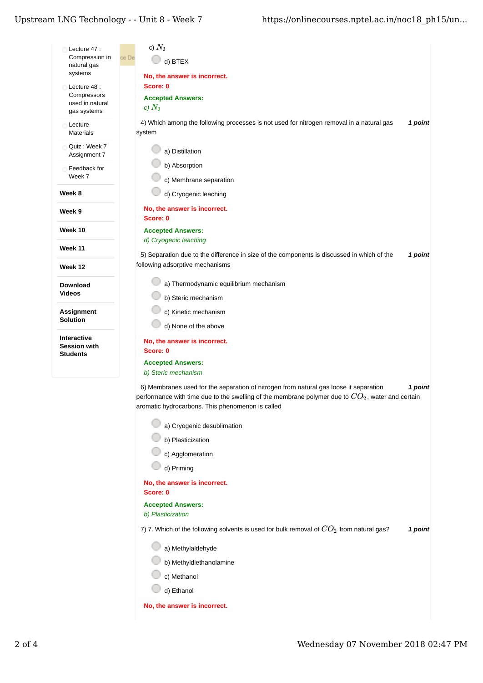## Upstream LNG Technology - - Unit  $8$  - Week  $7\,$

| Lecture 47 :<br>Compression in<br>natural gas                 | c) $N_2$<br>ce De<br>d) BTEX                                                                                                                                                                                                                                |
|---------------------------------------------------------------|-------------------------------------------------------------------------------------------------------------------------------------------------------------------------------------------------------------------------------------------------------------|
| systems                                                       | No, the answer is incorrect.                                                                                                                                                                                                                                |
| Lecture 48 :<br>Compressors<br>used in natural<br>gas systems | Score: 0<br><b>Accepted Answers:</b><br>c) $N_2$                                                                                                                                                                                                            |
| Lecture<br><b>Materials</b>                                   | 4) Which among the following processes is not used for nitrogen removal in a natural gas<br>1 point<br>system                                                                                                                                               |
| Quiz: Week 7<br>Assignment 7                                  | a) Distillation                                                                                                                                                                                                                                             |
| Feedback for<br>Week 7                                        | b) Absorption<br>c) Membrane separation                                                                                                                                                                                                                     |
| Week 8                                                        | d) Cryogenic leaching                                                                                                                                                                                                                                       |
| Week 9                                                        | No, the answer is incorrect.<br>Score: 0                                                                                                                                                                                                                    |
| Week 10                                                       | <b>Accepted Answers:</b>                                                                                                                                                                                                                                    |
| Week 11                                                       | d) Cryogenic leaching                                                                                                                                                                                                                                       |
| Week 12                                                       | 5) Separation due to the difference in size of the components is discussed in which of the<br>1 point<br>following adsorptive mechanisms                                                                                                                    |
| Download                                                      | a) Thermodynamic equilibrium mechanism                                                                                                                                                                                                                      |
| <b>Videos</b>                                                 | b) Steric mechanism                                                                                                                                                                                                                                         |
| <b>Assignment</b>                                             | c) Kinetic mechanism                                                                                                                                                                                                                                        |
| Solution                                                      | d) None of the above                                                                                                                                                                                                                                        |
| Interactive<br><b>Session with</b>                            | No, the answer is incorrect.<br>Score: 0                                                                                                                                                                                                                    |
| <b>Students</b>                                               | <b>Accepted Answers:</b><br>b) Steric mechanism                                                                                                                                                                                                             |
|                                                               | 6) Membranes used for the separation of nitrogen from natural gas loose it separation<br>1 point<br>performance with time due to the swelling of the membrane polymer due to $CO_2$ , water and certain<br>aromatic hydrocarbons. This phenomenon is called |
|                                                               | a) Cryogenic desublimation                                                                                                                                                                                                                                  |
|                                                               | b) Plasticization                                                                                                                                                                                                                                           |
|                                                               | c) Agglomeration                                                                                                                                                                                                                                            |
|                                                               | d) Priming                                                                                                                                                                                                                                                  |
|                                                               | No, the answer is incorrect.<br>Score: 0                                                                                                                                                                                                                    |
|                                                               | <b>Accepted Answers:</b><br>b) Plasticization                                                                                                                                                                                                               |
|                                                               | 7) 7. Which of the following solvents is used for bulk removal of $CO_2$ from natural gas?<br>1 point                                                                                                                                                       |
|                                                               | a) Methylaldehyde                                                                                                                                                                                                                                           |
|                                                               | b) Methyldiethanolamine                                                                                                                                                                                                                                     |
|                                                               | c) Methanol                                                                                                                                                                                                                                                 |
|                                                               | d) Ethanol                                                                                                                                                                                                                                                  |
|                                                               | No, the answer is incorrect.                                                                                                                                                                                                                                |
|                                                               |                                                                                                                                                                                                                                                             |